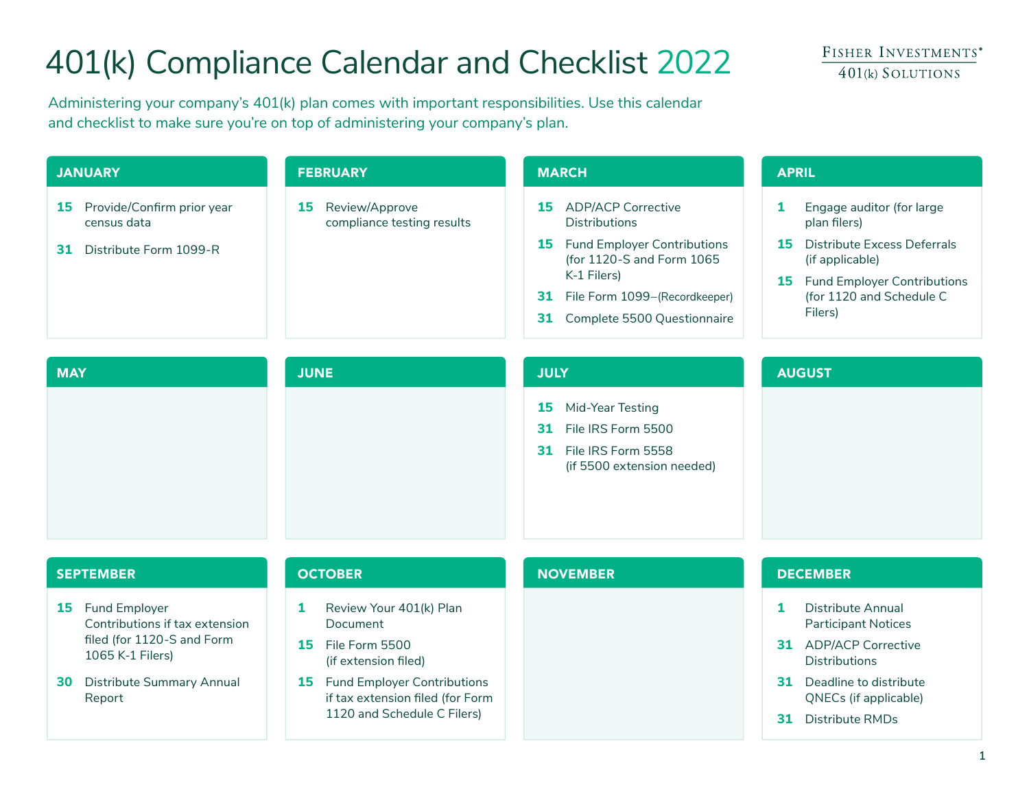# 401(k) Compliance Calendar and Checklist 2022

Administering your company's 401(k) plan comes with important responsibilities. Use this calendar and checklist to make sure you're on top of administering your company's plan.

| <b>JANUARY</b>                                                                   | <b>FEBRUARY</b>                                    | <b>MARCH</b>                                                                                                                                                                                                              | <b>APRIL</b>                                                                                                                                                                          |  |
|----------------------------------------------------------------------------------|----------------------------------------------------|---------------------------------------------------------------------------------------------------------------------------------------------------------------------------------------------------------------------------|---------------------------------------------------------------------------------------------------------------------------------------------------------------------------------------|--|
| Provide/Confirm prior year<br>15<br>census data<br>Distribute Form 1099-R<br>31. | Review/Approve<br>15<br>compliance testing results | <b>ADP/ACP Corrective</b><br>15<br><b>Distributions</b><br><b>15</b> Fund Employer Contributions<br>(for 1120-S and Form 1065<br>K-1 Filers)<br>31 File Form 1099-(Recordkeeper)<br><b>31</b> Complete 5500 Questionnaire | Engage auditor (for large<br>plan filers)<br>Distribute Excess Deferrals<br>15.<br>(if applicable)<br><b>Fund Employer Contributions</b><br>15<br>(for 1120 and Schedule C<br>Filers) |  |

| <b>MAY</b> | <b>JUNE</b> | <b>JULY</b>                                                                                                | <b>AUGUST</b> |
|------------|-------------|------------------------------------------------------------------------------------------------------------|---------------|
|            |             | <b>15</b> Mid-Year Testing<br>31 File IRS Form 5500<br>31 File IRS Form 5558<br>(if 5500 extension needed) |               |

| <b>SEPTEMBER</b> |                                                                                                         |    | <b>OCTOBER</b>                                                                                              |  | <b>NOVEMBER</b> |    | <b>DECEMBER</b>                                   |  |
|------------------|---------------------------------------------------------------------------------------------------------|----|-------------------------------------------------------------------------------------------------------------|--|-----------------|----|---------------------------------------------------|--|
|                  | Fund Employer<br>15<br>Contributions if tax extension<br>filed (for 1120-S and Form<br>1065 K-1 Filers) |    | Review Your 401(k) Plan<br>Document                                                                         |  |                 |    | Distribute Annual<br><b>Participant Notices</b>   |  |
|                  |                                                                                                         | 15 | File Form 5500<br>(if extension filed)                                                                      |  |                 | 31 | <b>ADP/ACP Corrective</b><br><b>Distributions</b> |  |
| <b>30</b>        | Distribute Summary Annual<br>Report                                                                     |    | <b>Fund Employer Contributions</b><br>15<br>if tax extension filed (for Form<br>1120 and Schedule C Filers) |  |                 | 31 | Deadline to distribute<br>QNECs (if applicable)   |  |
|                  |                                                                                                         |    |                                                                                                             |  |                 |    | Distribute RMDs                                   |  |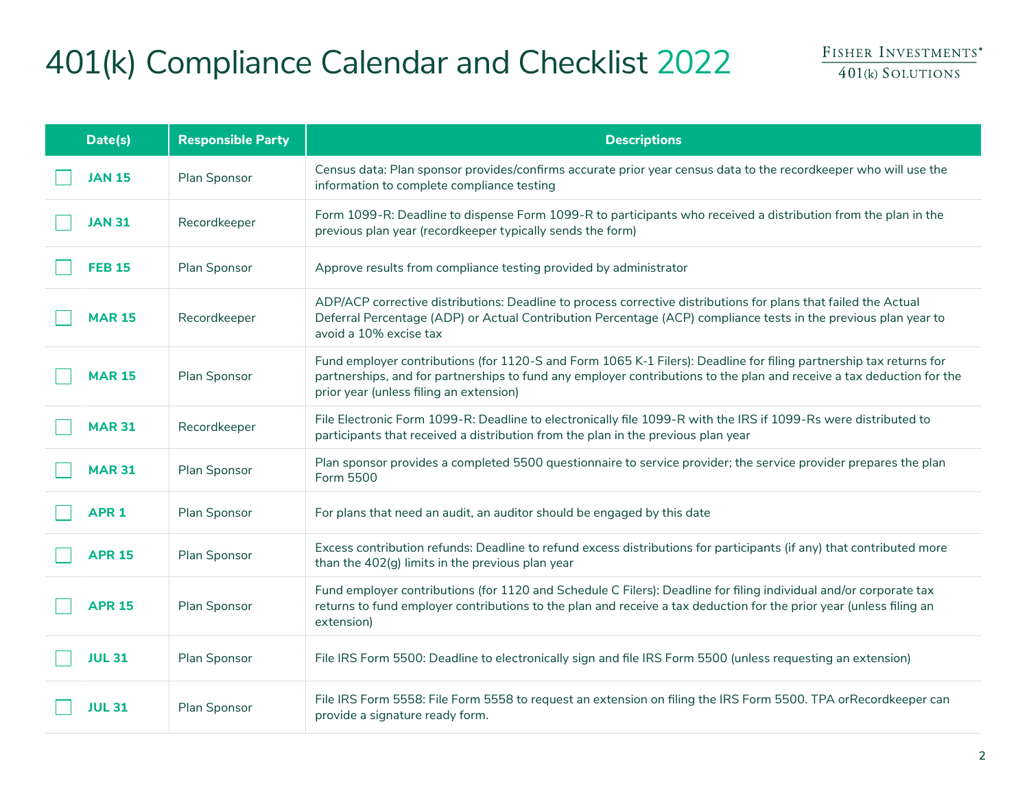# 401(k) Compliance Calendar and Checklist 2022

| Date(s)       | <b>Responsible Party</b> | <b>Descriptions</b>                                                                                                                                                                                                                                                                    |
|---------------|--------------------------|----------------------------------------------------------------------------------------------------------------------------------------------------------------------------------------------------------------------------------------------------------------------------------------|
| <b>JAN 15</b> | Plan Sponsor             | Census data: Plan sponsor provides/confirms accurate prior year census data to the recordkeeper who will use the<br>information to complete compliance testing                                                                                                                         |
| <b>JAN 31</b> | Recordkeeper             | Form 1099-R: Deadline to dispense Form 1099-R to participants who received a distribution from the plan in the<br>previous plan year (recordkeeper typically sends the form)                                                                                                           |
| <b>FEB 15</b> | Plan Sponsor             | Approve results from compliance testing provided by administrator                                                                                                                                                                                                                      |
| <b>MAR 15</b> | Recordkeeper             | ADP/ACP corrective distributions: Deadline to process corrective distributions for plans that failed the Actual<br>Deferral Percentage (ADP) or Actual Contribution Percentage (ACP) compliance tests in the previous plan year to<br>avoid a 10% excise tax                           |
| <b>MAR 15</b> | Plan Sponsor             | Fund employer contributions (for 1120-S and Form 1065 K-1 Filers): Deadline for filing partnership tax returns for<br>partnerships, and for partnerships to fund any employer contributions to the plan and receive a tax deduction for the<br>prior year (unless filing an extension) |
| <b>MAR 31</b> | Recordkeeper             | File Electronic Form 1099-R: Deadline to electronically file 1099-R with the IRS if 1099-Rs were distributed to<br>participants that received a distribution from the plan in the previous plan year                                                                                   |
| <b>MAR 31</b> | Plan Sponsor             | Plan sponsor provides a completed 5500 questionnaire to service provider; the service provider prepares the plan<br>Form 5500                                                                                                                                                          |
| <b>APR 1</b>  | Plan Sponsor             | For plans that need an audit, an auditor should be engaged by this date                                                                                                                                                                                                                |
| <b>APR 15</b> | Plan Sponsor             | Excess contribution refunds: Deadline to refund excess distributions for participants (if any) that contributed more<br>than the 402(g) limits in the previous plan year                                                                                                               |
| <b>APR 15</b> | Plan Sponsor             | Fund employer contributions (for 1120 and Schedule C Filers): Deadline for filing individual and/or corporate tax<br>returns to fund employer contributions to the plan and receive a tax deduction for the prior year (unless filing an<br>extension)                                 |
| <b>JUL 31</b> | Plan Sponsor             | File IRS Form 5500: Deadline to electronically sign and file IRS Form 5500 (unless requesting an extension)                                                                                                                                                                            |
| <b>JUL 31</b> | Plan Sponsor             | File IRS Form 5558: File Form 5558 to request an extension on filing the IRS Form 5500. TPA orRecordkeeper can<br>provide a signature ready form.                                                                                                                                      |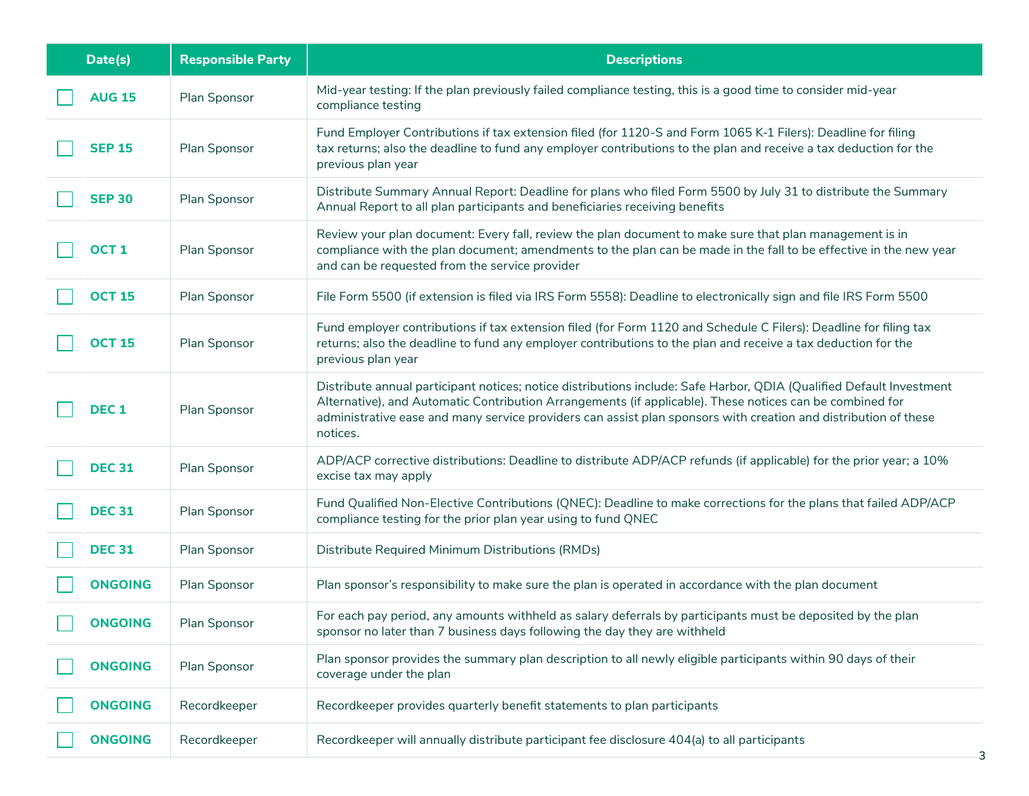| Date(s)          | <b>Responsible Party</b> | <b>Descriptions</b>                                                                                                                                                                                                                                                                                                                                             |
|------------------|--------------------------|-----------------------------------------------------------------------------------------------------------------------------------------------------------------------------------------------------------------------------------------------------------------------------------------------------------------------------------------------------------------|
| <b>AUG 15</b>    | Plan Sponsor             | Mid-year testing: If the plan previously failed compliance testing, this is a good time to consider mid-year<br>compliance testing                                                                                                                                                                                                                              |
| <b>SEP 15</b>    | Plan Sponsor             | Fund Employer Contributions if tax extension filed (for 1120-S and Form 1065 K-1 Filers): Deadline for filing<br>tax returns; also the deadline to fund any employer contributions to the plan and receive a tax deduction for the<br>previous plan year                                                                                                        |
| <b>SEP 30</b>    | Plan Sponsor             | Distribute Summary Annual Report: Deadline for plans who filed Form 5500 by July 31 to distribute the Summary<br>Annual Report to all plan participants and beneficiaries receiving benefits                                                                                                                                                                    |
| OCT <sub>1</sub> | Plan Sponsor             | Review your plan document: Every fall, review the plan document to make sure that plan management is in<br>compliance with the plan document; amendments to the plan can be made in the fall to be effective in the new year<br>and can be requested from the service provider                                                                                  |
| <b>OCT 15</b>    | Plan Sponsor             | File Form 5500 (if extension is filed via IRS Form 5558): Deadline to electronically sign and file IRS Form 5500                                                                                                                                                                                                                                                |
| <b>OCT 15</b>    | Plan Sponsor             | Fund employer contributions if tax extension filed (for Form 1120 and Schedule C Filers): Deadline for filing tax<br>returns; also the deadline to fund any employer contributions to the plan and receive a tax deduction for the<br>previous plan year                                                                                                        |
| DEC <sub>1</sub> | Plan Sponsor             | Distribute annual participant notices; notice distributions include: Safe Harbor, QDIA (Qualified Default Investment<br>Alternative), and Automatic Contribution Arrangements (if applicable). These notices can be combined for<br>administrative ease and many service providers can assist plan sponsors with creation and distribution of these<br>notices. |
| <b>DEC 31</b>    | Plan Sponsor             | ADP/ACP corrective distributions: Deadline to distribute ADP/ACP refunds (if applicable) for the prior year; a 10%<br>excise tax may apply                                                                                                                                                                                                                      |
| <b>DEC 31</b>    | Plan Sponsor             | Fund Qualified Non-Elective Contributions (QNEC): Deadline to make corrections for the plans that failed ADP/ACP<br>compliance testing for the prior plan year using to fund QNEC                                                                                                                                                                               |
| <b>DEC 31</b>    | Plan Sponsor             | Distribute Required Minimum Distributions (RMDs)                                                                                                                                                                                                                                                                                                                |
| <b>ONGOING</b>   | Plan Sponsor             | Plan sponsor's responsibility to make sure the plan is operated in accordance with the plan document                                                                                                                                                                                                                                                            |
| <b>ONGOING</b>   | Plan Sponsor             | For each pay period, any amounts withheld as salary deferrals by participants must be deposited by the plan<br>sponsor no later than 7 business days following the day they are withheld                                                                                                                                                                        |
| <b>ONGOING</b>   | Plan Sponsor             | Plan sponsor provides the summary plan description to all newly eligible participants within 90 days of their<br>coverage under the plan                                                                                                                                                                                                                        |
| <b>ONGOING</b>   | Recordkeeper             | Recordkeeper provides quarterly benefit statements to plan participants                                                                                                                                                                                                                                                                                         |
| <b>ONGOING</b>   | Recordkeeper             | Recordkeeper will annually distribute participant fee disclosure 404(a) to all participants                                                                                                                                                                                                                                                                     |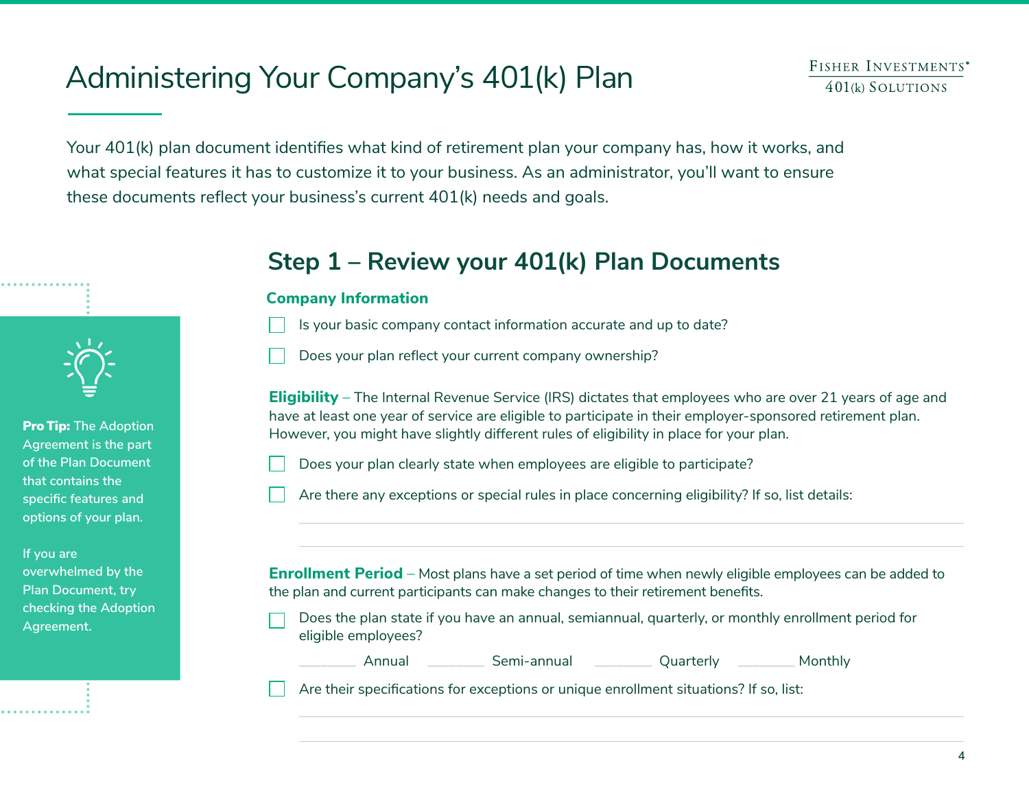## Administering Your Company's 401(k) Plan

Your 401(k) plan document identifies what kind of retirement plan your company has, how it works, and what special features it has to customize it to your business. As an administrator, you'll want to ensure these documents reflect your business's current 401(k) needs and goals.



Pro Tip: **The Adoption Agreement is the part of the Plan Document that contains the specific features and options of your plan.** 

**If you are overwhelmed by the Plan Document, try checking the Adoption Agreement.**

## **Step 1 – Review your 401(k) Plan Documents**

#### **Company Information**

- Is your basic company contact information accurate and up to date?
- Does your plan reflect your current company ownership?

**Eligibility** – The Internal Revenue Service (IRS) dictates that employees who are over 21 years of age and have at least one year of service are eligible to participate in their employer-sponsored retirement plan. However, you might have slightly different rules of eligibility in place for your plan.

- Does your plan clearly state when employees are eligible to participate?
- Are there any exceptions or special rules in place concerning eligibility? If so, list details:

**Enrollment Period** – Most plans have a set period of time when newly eligible employees can be added to the plan and current participants can make changes to their retirement benefits.

- Does the plan state if you have an annual, semiannual, quarterly, or monthly enrollment period for eligible employees?
	-

**\_\_\_\_\_\_\_\_** Annual **\_\_\_\_\_\_\_\_** Semi-annual **\_\_\_\_\_\_\_\_** Quarterly **\_\_\_\_\_\_\_\_** Monthly

Are their specifications for exceptions or unique enrollment situations? If so, list: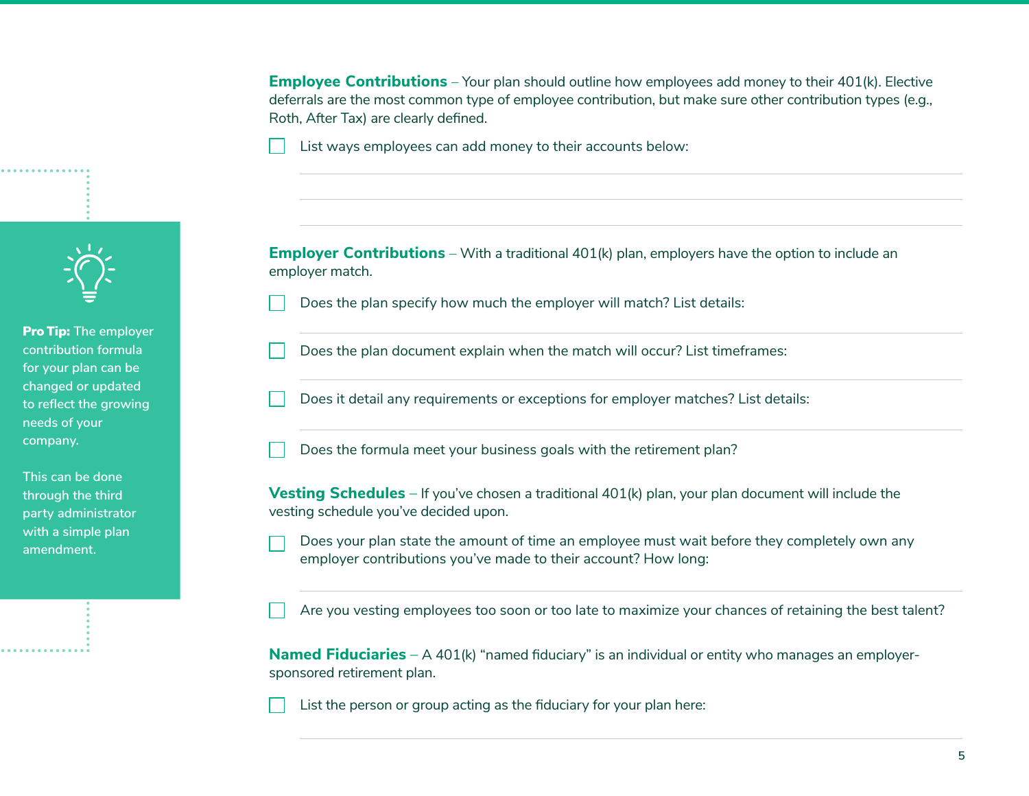**Employee Contributions** – Your plan should outline how employees add money to their 401(k). Elective deferrals are the most common type of employee contribution, but make sure other contribution types (e.g., Roth, After Tax) are clearly defined.

List ways employees can add money to their accounts below:



Pro Tip: **The employer contribution formula for your plan can be changed or updated to reflect the growing needs of your company.** 

**This can be done through the third party administrator with a simple plan amendment.**

**Employer Contributions** – With a traditional 401(k) plan, employers have the option to include an employer match.

- Does the plan specify how much the employer will match? List details:
- Does the plan document explain when the match will occur? List timeframes:
- Does it detail any requirements or exceptions for employer matches? List details:
- Does the formula meet your business goals with the retirement plan?

**Vesting Schedules** – If you've chosen a traditional 401(k) plan, your plan document will include the vesting schedule you've decided upon.

Does your plan state the amount of time an employee must wait before they completely own any employer contributions you've made to their account? How long:

Are you vesting employees too soon or too late to maximize your chances of retaining the best talent?

**Named Fiduciaries** – A 401(k) "named fiduciary" is an individual or entity who manages an employersponsored retirement plan.

List the person or group acting as the fiduciary for your plan here: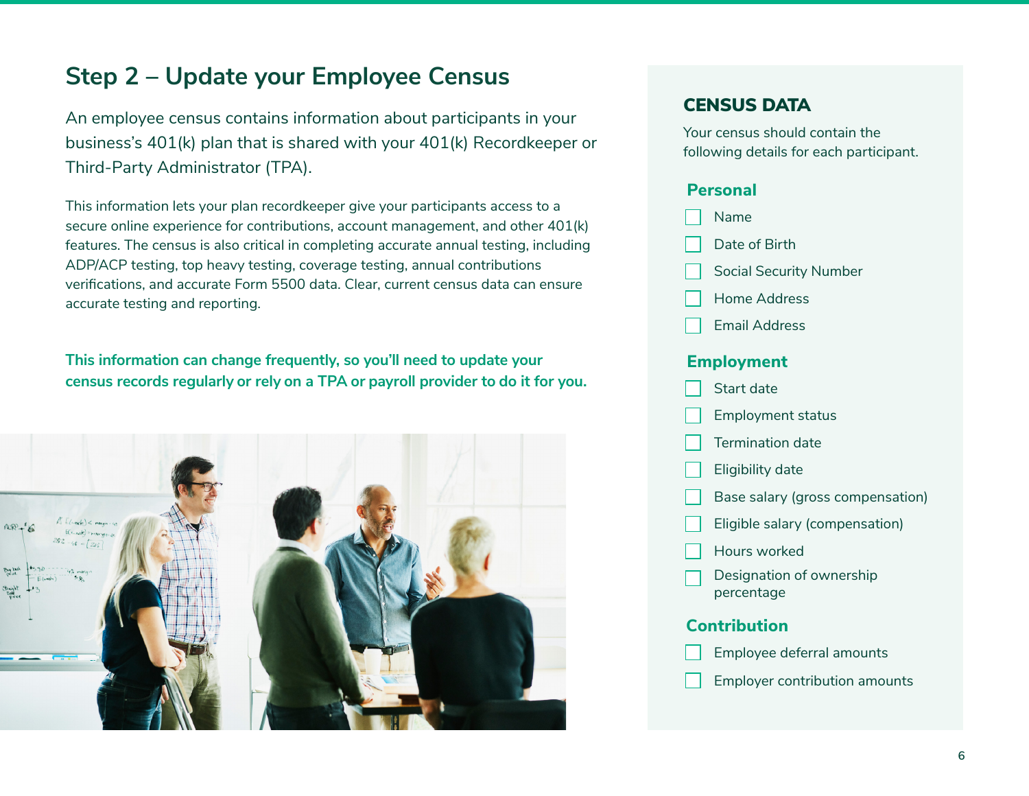## **Step 2 – Update your Employee Census**

An employee census contains information about participants in your business's 401(k) plan that is shared with your 401(k) Recordkeeper or Third-Party Administrator (TPA).

This information lets your plan recordkeeper give your participants access to a secure online experience for contributions, account management, and other 401(k) features. The census is also critical in completing accurate annual testing, including ADP/ACP testing, top heavy testing, coverage testing, annual contributions verifications, and accurate Form 5500 data. Clear, current census data can ensure accurate testing and reporting.

**This information can change frequently, so you'll need to update your census records regularly or rely on a TPA or payroll provider to do it for you.**



#### CENSUS DATA

Your census should contain the following details for each participant.

#### **Personal**

- Name
- Date of Birth
- Social Security Number
- Home Address
- Email Address

#### **Employment**



Employer contribution amounts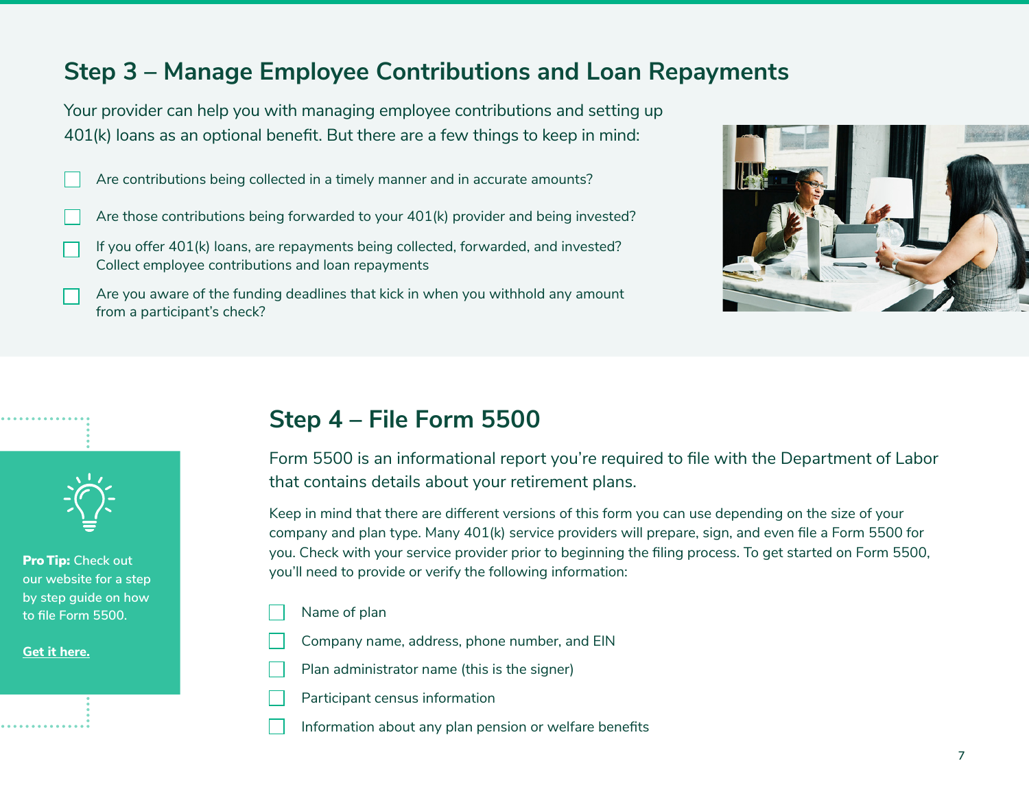## **Step 3 – Manage Employee Contributions and Loan Repayments**

Your provider can help you with managing employee contributions and setting up 401(k) loans as an optional benefit. But there are a few things to keep in mind:

- Are contributions being collected in a timely manner and in accurate amounts?
- Are those contributions being forwarded to your 401(k) provider and being invested?
- If you offer 401(k) loans, are repayments being collected, forwarded, and invested? Collect employee contributions and loan repayments
- Are you aware of the funding deadlines that kick in when you withhold any amount from a participant's check?





Pro Tip: **Check out our website for a step by step guide on how to file Form 5500.** 

**[Get it here.](http://www.fisher401k.com/resource-library/basics/form-5500-instructions)**

## **Step 4 – File Form 5500**

Form 5500 is an informational report you're required to file with the Department of Labor that contains details about your retirement plans.

Keep in mind that there are different versions of this form you can use depending on the size of your company and plan type. Many 401(k) service providers will prepare, sign, and even file a Form 5500 for you. Check with your service provider prior to beginning the filing process. To get started on Form 5500, you'll need to provide or verify the following information:

- Name of plan
- Company name, address, phone number, and EIN
- Plan administrator name (this is the signer)
- Participant census information
- Information about any plan pension or welfare benefits